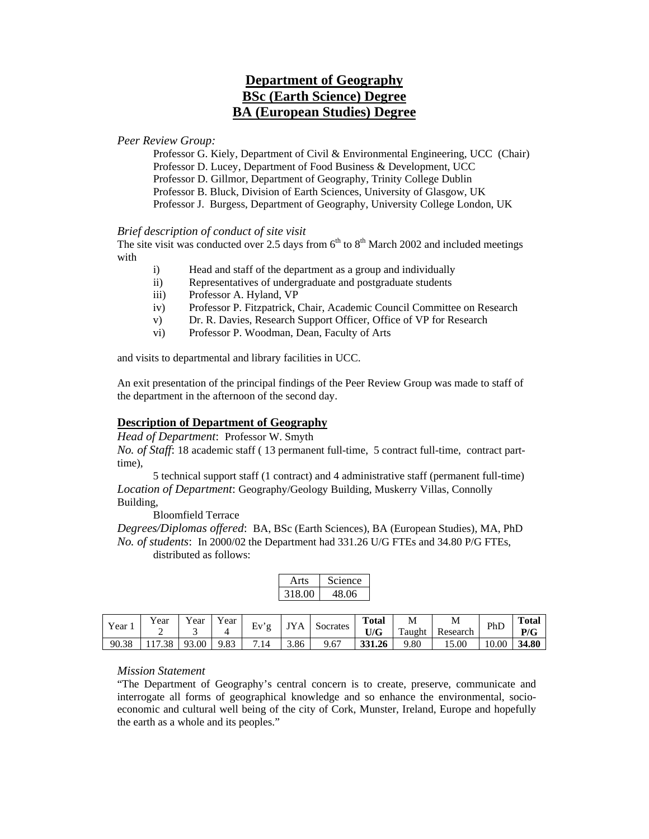# **Department of Geography BSc (Earth Science) Degree BA (European Studies) Degree**

*Peer Review Group:* 

Professor G. Kiely, Department of Civil & Environmental Engineering, UCC (Chair) Professor D. Lucey, Department of Food Business & Development, UCC Professor D. Gillmor, Department of Geography, Trinity College Dublin Professor B. Bluck, Division of Earth Sciences, University of Glasgow, UK Professor J. Burgess, Department of Geography, University College London, UK

#### *Brief description of conduct of site visit*

The site visit was conducted over 2.5 days from  $6<sup>th</sup>$  to  $8<sup>th</sup>$  March 2002 and included meetings with

- i) Head and staff of the department as a group and individually
- ii) Representatives of undergraduate and postgraduate students
- iii) Professor A. Hyland, VP
- iv) Professor P. Fitzpatrick, Chair, Academic Council Committee on Research
- v) Dr. R. Davies, Research Support Officer, Office of VP for Research
- vi) Professor P. Woodman, Dean, Faculty of Arts

and visits to departmental and library facilities in UCC.

An exit presentation of the principal findings of the Peer Review Group was made to staff of the department in the afternoon of the second day.

### **Description of Department of Geography**

*Head of Department*: Professor W. Smyth

*No. of Staff*: 18 academic staff ( 13 permanent full-time, 5 contract full-time, contract parttime),

5 technical support staff (1 contract) and 4 administrative staff (permanent full-time) *Location of Department*: Geography/Geology Building, Muskerry Villas, Connolly Building,

Bloomfield Terrace

*Degrees/Diplomas offered*: BA, BSc (Earth Sciences), BA (European Studies), MA, PhD *No. of students*: In 2000/02 the Department had 331.26 U/G FTEs and 34.80 P/G FTEs, distributed as follows:

| Arts   | science |
|--------|---------|
| 318.00 | 18 OG   |

| Year  | Y ear<br>- | v v<br>ear | Y ear | Ev  | <b>TV</b> | Socrates | <b>Total</b><br>U/G | M<br>$\mathbf{r}$<br>Taught | M<br>Research | PhD  | <b>Total</b><br>P/G |
|-------|------------|------------|-------|-----|-----------|----------|---------------------|-----------------------------|---------------|------|---------------------|
| 90.38 |            | .00<br>93  | 9.83  | .14 | 3.86      | 9.67     | 331.26              | .80                         | 15.00         | 0.00 | 34.80               |

#### *Mission Statement*

"The Department of Geography's central concern is to create, preserve, communicate and interrogate all forms of geographical knowledge and so enhance the environmental, socioeconomic and cultural well being of the city of Cork, Munster, Ireland, Europe and hopefully the earth as a whole and its peoples."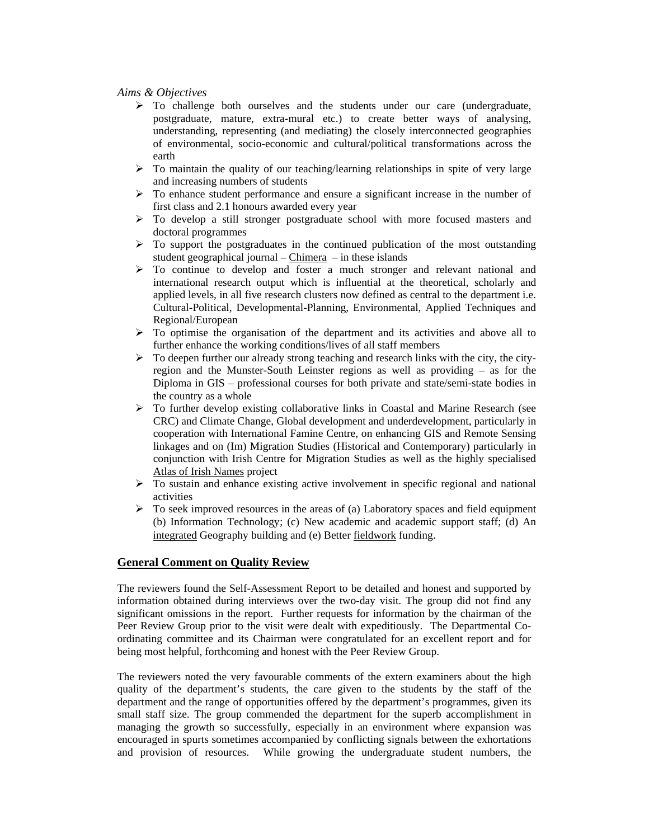#### *Aims & Objectives*

- $\triangleright$  To challenge both ourselves and the students under our care (undergraduate, postgraduate, mature, extra-mural etc.) to create better ways of analysing, understanding, representing (and mediating) the closely interconnected geographies of environmental, socio-economic and cultural/political transformations across the earth
- $\triangleright$  To maintain the quality of our teaching/learning relationships in spite of very large and increasing numbers of students
- ¾ To enhance student performance and ensure a significant increase in the number of first class and 2.1 honours awarded every year
- $\triangleright$  To develop a still stronger postgraduate school with more focused masters and doctoral programmes
- $\triangleright$  To support the postgraduates in the continued publication of the most outstanding student geographical journal – Chimera – in these islands
- $\triangleright$  To continue to develop and foster a much stronger and relevant national and international research output which is influential at the theoretical, scholarly and applied levels, in all five research clusters now defined as central to the department i.e. Cultural-Political, Developmental-Planning, Environmental, Applied Techniques and Regional/European
- $\triangleright$  To optimise the organisation of the department and its activities and above all to further enhance the working conditions/lives of all staff members
- $\triangleright$  To deepen further our already strong teaching and research links with the city, the cityregion and the Munster-South Leinster regions as well as providing – as for the Diploma in GIS – professional courses for both private and state/semi-state bodies in the country as a whole
- $\triangleright$  To further develop existing collaborative links in Coastal and Marine Research (see CRC) and Climate Change, Global development and underdevelopment, particularly in cooperation with International Famine Centre, on enhancing GIS and Remote Sensing linkages and on (Im) Migration Studies (Historical and Contemporary) particularly in conjunction with Irish Centre for Migration Studies as well as the highly specialised Atlas of Irish Names project
- $\triangleright$  To sustain and enhance existing active involvement in specific regional and national activities
- $\triangleright$  To seek improved resources in the areas of (a) Laboratory spaces and field equipment (b) Information Technology; (c) New academic and academic support staff; (d) An integrated Geography building and (e) Better fieldwork funding.

#### **General Comment on Quality Review**

The reviewers found the Self-Assessment Report to be detailed and honest and supported by information obtained during interviews over the two-day visit. The group did not find any significant omissions in the report. Further requests for information by the chairman of the Peer Review Group prior to the visit were dealt with expeditiously. The Departmental Coordinating committee and its Chairman were congratulated for an excellent report and for being most helpful, forthcoming and honest with the Peer Review Group.

The reviewers noted the very favourable comments of the extern examiners about the high quality of the department's students, the care given to the students by the staff of the department and the range of opportunities offered by the department's programmes, given its small staff size. The group commended the department for the superb accomplishment in managing the growth so successfully, especially in an environment where expansion was encouraged in spurts sometimes accompanied by conflicting signals between the exhortations and provision of resources. While growing the undergraduate student numbers, the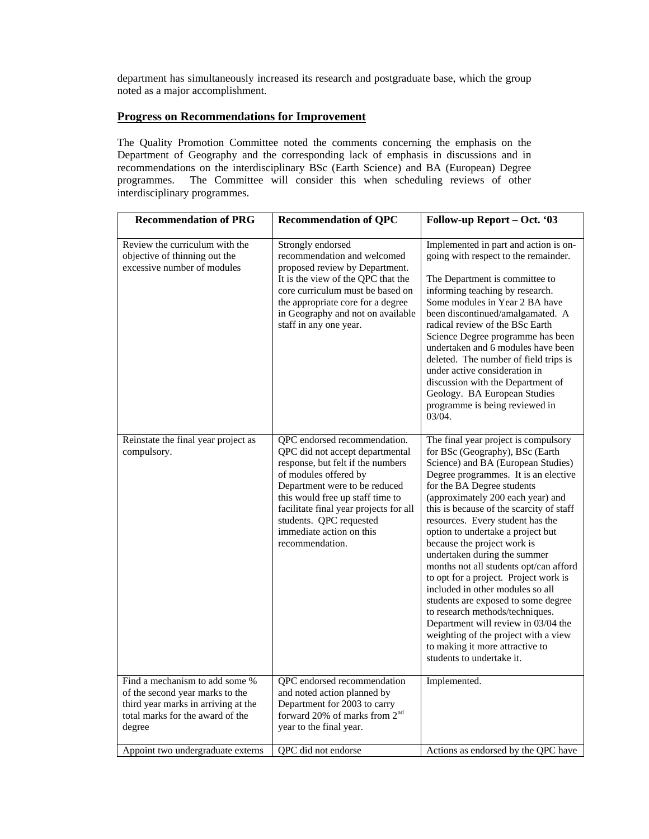department has simultaneously increased its research and postgraduate base, which the group noted as a major accomplishment.

## **Progress on Recommendations for Improvement**

The Quality Promotion Committee noted the comments concerning the emphasis on the Department of Geography and the corresponding lack of emphasis in discussions and in recommendations on the interdisciplinary BSc (Earth Science) and BA (European) Degree programmes. The Committee will consider this when scheduling reviews of other interdisciplinary programmes.

| <b>Recommendation of PRG</b>                                                                                                                           | <b>Recommendation of QPC</b>                                                                                                                                                                                                                                                                                           | Follow-up Report - Oct. '03                                                                                                                                                                                                                                                                                                                                                                                                                                                                                                                                                                                                                                                                                                                                  |
|--------------------------------------------------------------------------------------------------------------------------------------------------------|------------------------------------------------------------------------------------------------------------------------------------------------------------------------------------------------------------------------------------------------------------------------------------------------------------------------|--------------------------------------------------------------------------------------------------------------------------------------------------------------------------------------------------------------------------------------------------------------------------------------------------------------------------------------------------------------------------------------------------------------------------------------------------------------------------------------------------------------------------------------------------------------------------------------------------------------------------------------------------------------------------------------------------------------------------------------------------------------|
| Review the curriculum with the<br>objective of thinning out the<br>excessive number of modules                                                         | Strongly endorsed<br>recommendation and welcomed<br>proposed review by Department.<br>It is the view of the QPC that the<br>core curriculum must be based on<br>the appropriate core for a degree<br>in Geography and not on available<br>staff in any one year.                                                       | Implemented in part and action is on-<br>going with respect to the remainder.<br>The Department is committee to<br>informing teaching by research.<br>Some modules in Year 2 BA have<br>been discontinued/amalgamated. A<br>radical review of the BSc Earth<br>Science Degree programme has been<br>undertaken and 6 modules have been<br>deleted. The number of field trips is<br>under active consideration in<br>discussion with the Department of<br>Geology. BA European Studies<br>programme is being reviewed in<br>03/04.                                                                                                                                                                                                                            |
| Reinstate the final year project as<br>compulsory.                                                                                                     | QPC endorsed recommendation.<br>QPC did not accept departmental<br>response, but felt if the numbers<br>of modules offered by<br>Department were to be reduced<br>this would free up staff time to<br>facilitate final year projects for all<br>students. QPC requested<br>immediate action on this<br>recommendation. | The final year project is compulsory<br>for BSc (Geography), BSc (Earth<br>Science) and BA (European Studies)<br>Degree programmes. It is an elective<br>for the BA Degree students<br>(approximately 200 each year) and<br>this is because of the scarcity of staff<br>resources. Every student has the<br>option to undertake a project but<br>because the project work is<br>undertaken during the summer<br>months not all students opt/can afford<br>to opt for a project. Project work is<br>included in other modules so all<br>students are exposed to some degree<br>to research methods/techniques.<br>Department will review in 03/04 the<br>weighting of the project with a view<br>to making it more attractive to<br>students to undertake it. |
| Find a mechanism to add some %<br>of the second year marks to the<br>third year marks in arriving at the<br>total marks for the award of the<br>degree | QPC endorsed recommendation<br>and noted action planned by<br>Department for 2003 to carry<br>forward 20% of marks from 2 <sup>nd</sup><br>year to the final year.                                                                                                                                                     | Implemented.                                                                                                                                                                                                                                                                                                                                                                                                                                                                                                                                                                                                                                                                                                                                                 |
| Appoint two undergraduate externs                                                                                                                      | QPC did not endorse                                                                                                                                                                                                                                                                                                    | Actions as endorsed by the QPC have                                                                                                                                                                                                                                                                                                                                                                                                                                                                                                                                                                                                                                                                                                                          |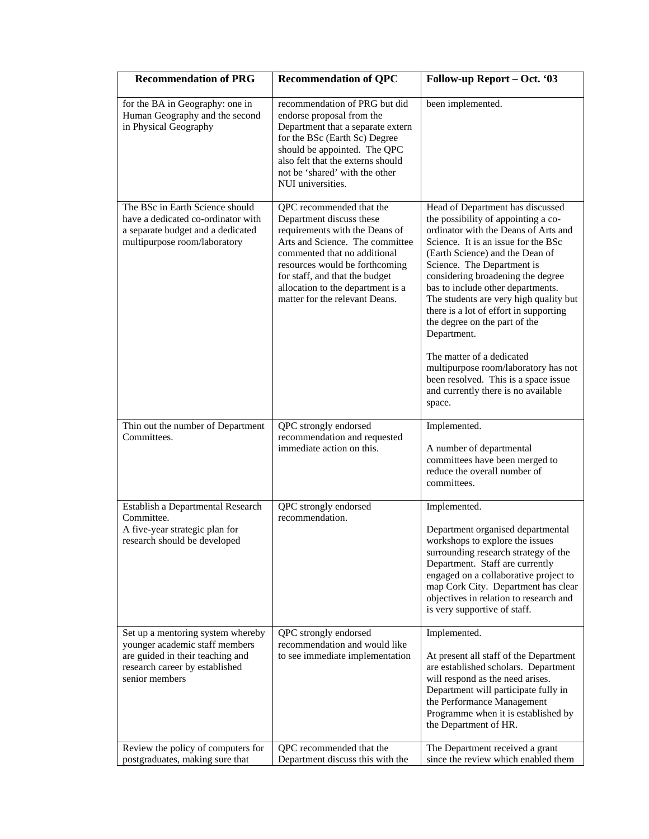| <b>Recommendation of PRG</b>                                                                                                                                | <b>Recommendation of QPC</b>                                                                                                                                                                                                                                                                         | Follow-up Report - Oct. '03                                                                                                                                                                                                                                                                                                                                                                                                                                                                                                                                                                         |
|-------------------------------------------------------------------------------------------------------------------------------------------------------------|------------------------------------------------------------------------------------------------------------------------------------------------------------------------------------------------------------------------------------------------------------------------------------------------------|-----------------------------------------------------------------------------------------------------------------------------------------------------------------------------------------------------------------------------------------------------------------------------------------------------------------------------------------------------------------------------------------------------------------------------------------------------------------------------------------------------------------------------------------------------------------------------------------------------|
| for the BA in Geography: one in<br>Human Geography and the second<br>in Physical Geography                                                                  | recommendation of PRG but did<br>endorse proposal from the<br>Department that a separate extern<br>for the BSc (Earth Sc) Degree<br>should be appointed. The QPC<br>also felt that the externs should<br>not be 'shared' with the other<br>NUI universities.                                         | been implemented.                                                                                                                                                                                                                                                                                                                                                                                                                                                                                                                                                                                   |
| The BSc in Earth Science should<br>have a dedicated co-ordinator with<br>a separate budget and a dedicated<br>multipurpose room/laboratory                  | QPC recommended that the<br>Department discuss these<br>requirements with the Deans of<br>Arts and Science. The committee<br>commented that no additional<br>resources would be forthcoming<br>for staff, and that the budget<br>allocation to the department is a<br>matter for the relevant Deans. | Head of Department has discussed<br>the possibility of appointing a co-<br>ordinator with the Deans of Arts and<br>Science. It is an issue for the BSc<br>(Earth Science) and the Dean of<br>Science. The Department is<br>considering broadening the degree<br>bas to include other departments.<br>The students are very high quality but<br>there is a lot of effort in supporting<br>the degree on the part of the<br>Department.<br>The matter of a dedicated<br>multipurpose room/laboratory has not<br>been resolved. This is a space issue<br>and currently there is no available<br>space. |
| Thin out the number of Department<br>Committees.                                                                                                            | QPC strongly endorsed<br>recommendation and requested<br>immediate action on this.                                                                                                                                                                                                                   | Implemented.<br>A number of departmental<br>committees have been merged to<br>reduce the overall number of<br>committees.                                                                                                                                                                                                                                                                                                                                                                                                                                                                           |
| Establish a Departmental Research<br>Committee.<br>A five-year strategic plan for<br>research should be developed                                           | QPC strongly endorsed<br>recommendation.                                                                                                                                                                                                                                                             | Implemented.<br>Department organised departmental<br>workshops to explore the issues<br>surrounding research strategy of the<br>Department. Staff are currently<br>engaged on a collaborative project to<br>map Cork City. Department has clear<br>objectives in relation to research and<br>is very supportive of staff.                                                                                                                                                                                                                                                                           |
| Set up a mentoring system whereby<br>younger academic staff members<br>are guided in their teaching and<br>research career by established<br>senior members | QPC strongly endorsed<br>recommendation and would like<br>to see immediate implementation                                                                                                                                                                                                            | Implemented.<br>At present all staff of the Department<br>are established scholars. Department<br>will respond as the need arises.<br>Department will participate fully in<br>the Performance Management<br>Programme when it is established by<br>the Department of HR.                                                                                                                                                                                                                                                                                                                            |
| Review the policy of computers for<br>postgraduates, making sure that                                                                                       | QPC recommended that the<br>Department discuss this with the                                                                                                                                                                                                                                         | The Department received a grant<br>since the review which enabled them                                                                                                                                                                                                                                                                                                                                                                                                                                                                                                                              |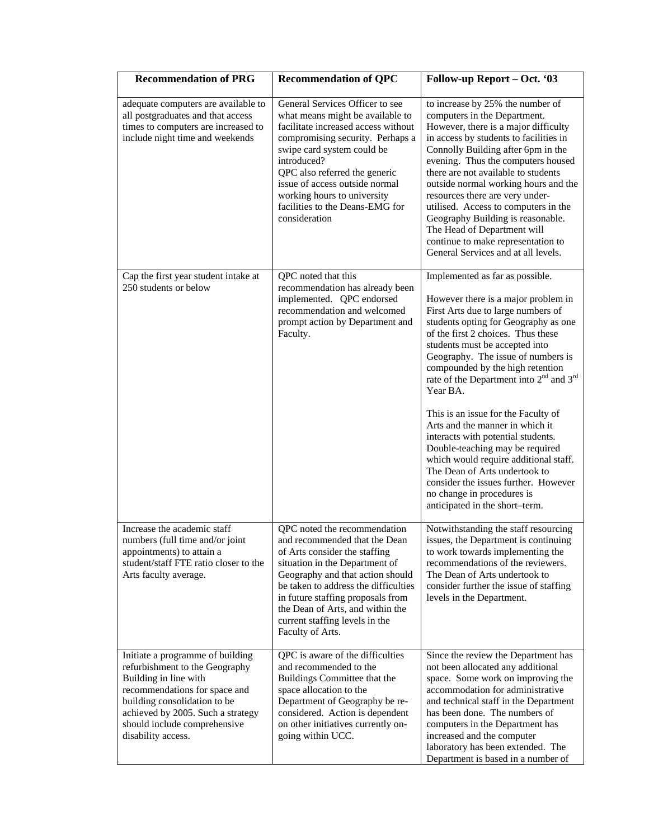| <b>Recommendation of PRG</b>                                                                                                                                                                                                                            | <b>Recommendation of QPC</b>                                                                                                                                                                                                                                                                                                                      | Follow-up Report – Oct. '03                                                                                                                                                                                                                                                                                                                                                                                                                                                                                                                                                                                                                                                                                                |
|---------------------------------------------------------------------------------------------------------------------------------------------------------------------------------------------------------------------------------------------------------|---------------------------------------------------------------------------------------------------------------------------------------------------------------------------------------------------------------------------------------------------------------------------------------------------------------------------------------------------|----------------------------------------------------------------------------------------------------------------------------------------------------------------------------------------------------------------------------------------------------------------------------------------------------------------------------------------------------------------------------------------------------------------------------------------------------------------------------------------------------------------------------------------------------------------------------------------------------------------------------------------------------------------------------------------------------------------------------|
| adequate computers are available to<br>all postgraduates and that access<br>times to computers are increased to<br>include night time and weekends                                                                                                      | General Services Officer to see<br>what means might be available to<br>facilitate increased access without<br>compromising security. Perhaps a<br>swipe card system could be<br>introduced?<br>QPC also referred the generic<br>issue of access outside normal<br>working hours to university<br>facilities to the Deans-EMG for<br>consideration | to increase by 25% the number of<br>computers in the Department.<br>However, there is a major difficulty<br>in access by students to facilities in<br>Connolly Building after 6pm in the<br>evening. Thus the computers housed<br>there are not available to students<br>outside normal working hours and the<br>resources there are very under-<br>utilised. Access to computers in the<br>Geography Building is reasonable.<br>The Head of Department will<br>continue to make representation to<br>General Services and at all levels.                                                                                                                                                                                  |
| Cap the first year student intake at<br>250 students or below                                                                                                                                                                                           | QPC noted that this<br>recommendation has already been<br>implemented. QPC endorsed<br>recommendation and welcomed<br>prompt action by Department and<br>Faculty.                                                                                                                                                                                 | Implemented as far as possible.<br>However there is a major problem in<br>First Arts due to large numbers of<br>students opting for Geography as one<br>of the first 2 choices. Thus these<br>students must be accepted into<br>Geography. The issue of numbers is<br>compounded by the high retention<br>rate of the Department into 2 <sup>nd</sup> and 3 <sup>rd</sup><br>Year BA.<br>This is an issue for the Faculty of<br>Arts and the manner in which it<br>interacts with potential students.<br>Double-teaching may be required<br>which would require additional staff.<br>The Dean of Arts undertook to<br>consider the issues further. However<br>no change in procedures is<br>anticipated in the short-term. |
| Increase the academic staff<br>numbers (full time and/or joint<br>appointments) to attain a<br>student/staff FTE ratio closer to the<br>Arts faculty average.                                                                                           | QPC noted the recommendation<br>and recommended that the Dean<br>of Arts consider the staffing<br>situation in the Department of<br>Geography and that action should<br>be taken to address the difficulties<br>in future staffing proposals from<br>the Dean of Arts, and within the<br>current staffing levels in the<br>Faculty of Arts.       | Notwithstanding the staff resourcing<br>issues, the Department is continuing<br>to work towards implementing the<br>recommendations of the reviewers.<br>The Dean of Arts undertook to<br>consider further the issue of staffing<br>levels in the Department.                                                                                                                                                                                                                                                                                                                                                                                                                                                              |
| Initiate a programme of building<br>refurbishment to the Geography<br>Building in line with<br>recommendations for space and<br>building consolidation to be<br>achieved by 2005. Such a strategy<br>should include comprehensive<br>disability access. | QPC is aware of the difficulties<br>and recommended to the<br>Buildings Committee that the<br>space allocation to the<br>Department of Geography be re-<br>considered. Action is dependent<br>on other initiatives currently on-<br>going within UCC.                                                                                             | Since the review the Department has<br>not been allocated any additional<br>space. Some work on improving the<br>accommodation for administrative<br>and technical staff in the Department<br>has been done. The numbers of<br>computers in the Department has<br>increased and the computer<br>laboratory has been extended. The<br>Department is based in a number of                                                                                                                                                                                                                                                                                                                                                    |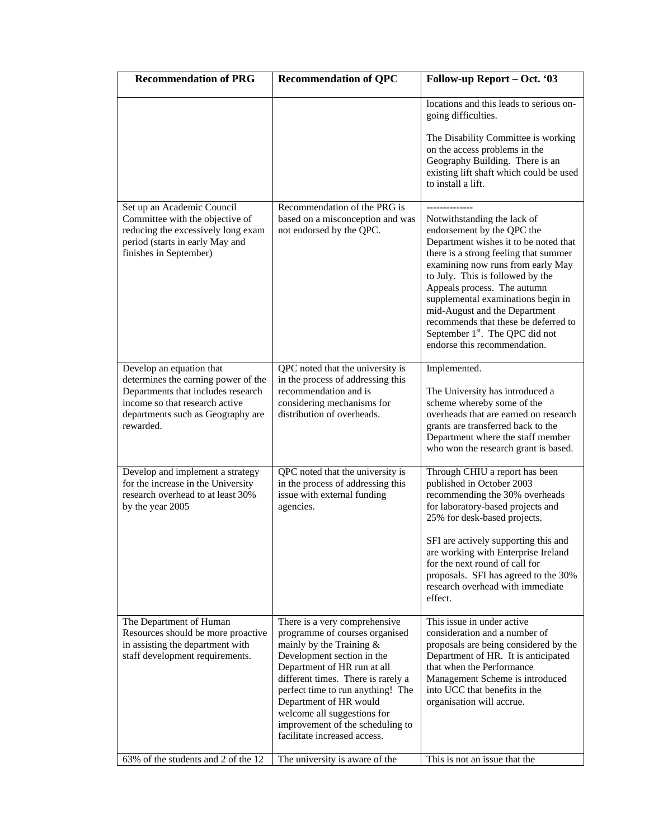| <b>Recommendation of PRG</b>                                                                                                                                                              | <b>Recommendation of QPC</b>                                                                                                                                                                                                                                                                                                                                       | Follow-up Report - Oct. '03                                                                                                                                                                                                                                                                                                                                                                                                                       |
|-------------------------------------------------------------------------------------------------------------------------------------------------------------------------------------------|--------------------------------------------------------------------------------------------------------------------------------------------------------------------------------------------------------------------------------------------------------------------------------------------------------------------------------------------------------------------|---------------------------------------------------------------------------------------------------------------------------------------------------------------------------------------------------------------------------------------------------------------------------------------------------------------------------------------------------------------------------------------------------------------------------------------------------|
|                                                                                                                                                                                           |                                                                                                                                                                                                                                                                                                                                                                    | locations and this leads to serious on-<br>going difficulties.<br>The Disability Committee is working<br>on the access problems in the<br>Geography Building. There is an<br>existing lift shaft which could be used<br>to install a lift.                                                                                                                                                                                                        |
| Set up an Academic Council<br>Committee with the objective of<br>reducing the excessively long exam<br>period (starts in early May and<br>finishes in September)                          | Recommendation of the PRG is<br>based on a misconception and was<br>not endorsed by the QPC.                                                                                                                                                                                                                                                                       | Notwithstanding the lack of<br>endorsement by the QPC the<br>Department wishes it to be noted that<br>there is a strong feeling that summer<br>examining now runs from early May<br>to July. This is followed by the<br>Appeals process. The autumn<br>supplemental examinations begin in<br>mid-August and the Department<br>recommends that these be deferred to<br>September 1 <sup>st</sup> . The QPC did not<br>endorse this recommendation. |
| Develop an equation that<br>determines the earning power of the<br>Departments that includes research<br>income so that research active<br>departments such as Geography are<br>rewarded. | QPC noted that the university is<br>in the process of addressing this<br>recommendation and is<br>considering mechanisms for<br>distribution of overheads.                                                                                                                                                                                                         | Implemented.<br>The University has introduced a<br>scheme whereby some of the<br>overheads that are earned on research<br>grants are transferred back to the<br>Department where the staff member<br>who won the research grant is based.                                                                                                                                                                                                         |
| Develop and implement a strategy<br>for the increase in the University<br>research overhead to at least 30%<br>by the year 2005                                                           | QPC noted that the university is<br>in the process of addressing this<br>issue with external funding<br>agencies.                                                                                                                                                                                                                                                  | Through CHIU a report has been<br>published in October 2003<br>recommending the 30% overheads<br>for laboratory-based projects and<br>25% for desk-based projects.<br>SFI are actively supporting this and<br>are working with Enterprise Ireland<br>for the next round of call for<br>proposals. SFI has agreed to the 30%<br>research overhead with immediate<br>effect.                                                                        |
| The Department of Human<br>Resources should be more proactive<br>in assisting the department with<br>staff development requirements.                                                      | There is a very comprehensive<br>programme of courses organised<br>mainly by the Training $&$<br>Development section in the<br>Department of HR run at all<br>different times. There is rarely a<br>perfect time to run anything! The<br>Department of HR would<br>welcome all suggestions for<br>improvement of the scheduling to<br>facilitate increased access. | This issue in under active<br>consideration and a number of<br>proposals are being considered by the<br>Department of HR. It is anticipated<br>that when the Performance<br>Management Scheme is introduced<br>into UCC that benefits in the<br>organisation will accrue.                                                                                                                                                                         |
| 63% of the students and 2 of the 12                                                                                                                                                       | The university is aware of the                                                                                                                                                                                                                                                                                                                                     | This is not an issue that the                                                                                                                                                                                                                                                                                                                                                                                                                     |